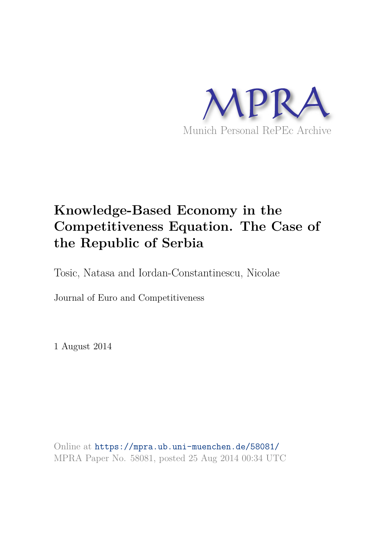

# **Knowledge-Based Economy in the Competitiveness Equation. The Case of the Republic of Serbia**

Tosic, Natasa and Iordan-Constantinescu, Nicolae

Journal of Euro and Competitiveness

1 August 2014

Online at https://mpra.ub.uni-muenchen.de/58081/ MPRA Paper No. 58081, posted 25 Aug 2014 00:34 UTC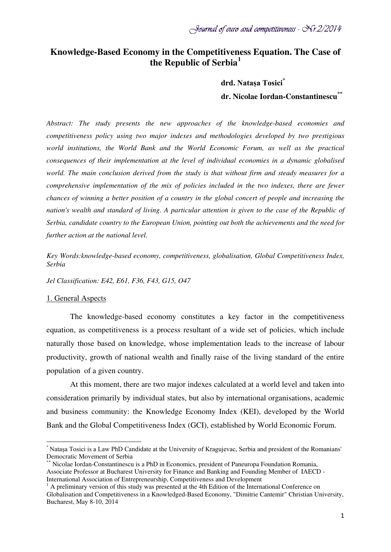# **Knowledge-Based Economy in the Competitiveness Equation. The Case of the Republic of Serbia[1](#page-1-0)**

 **drd. Natașa Tosici\*** 

 **dr. Nicolae Iordan-Constantinescu\*\***

*Abstract: The study presents the new approaches of the knowledge-based economies and competitiveness policy using two major indexes and methodologies developed by two prestigious world institutions, the World Bank and the World Economic Forum, as well as the practical consequences of their implementation at the level of individual economies in a dynamic globalised world. The main conclusion derived from the study is that without firm and steady measures for a comprehensive implementation of the mix of policies included in the two indexes, there are fewer chances of winning a better position of a country in the global concert of people and increasing the nation's wealth and standard of living. A particular attention is given to the case of the Republic of Serbia, candidate country to the European Union, pointing out both the achievements and the need for further action at the national level.*

*Key Words:knowledge-based economy, competitiveness, globalisation, Global Competitiveness Index, Serbia*

*Jel Classification: E42, E61, F36, F43, G15, O47*

#### 1. General Aspects

 $\overline{a}$ 

The knowledge-based economy constitutes a key factor in the competitiveness equation, as competitiveness is a process resultant of a wide set of policies, which include naturally those based on knowledge, whose implementation leads to the increase of labour productivity, growth of national wealth and finally raise of the living standard of the entire population of a given country.

At this moment, there are two major indexes calculated at a world level and taken into consideration primarily by individual states, but also by international organisations, academic and business community: the Knowledge Economy Index (KEI), developed by the World Bank and the Global Competitiveness Index (GCI), established by World Economic Forum.

<span id="page-1-0"></span><sup>\*</sup> Natașa Tosici is a Law PhD Candidate at the University of Kragujevac, Serbia and president of the Romanians' Democratic Movement of Serbia

<sup>\*\*</sup> Nicolae Iordan-Constantinescu is a PhD in Economics, president of Paneuropa Foundation Romania, Associate Professor at Bucharest University for Finance and Banking and Founding Member of IAECD - International Association of Entrepreneurship, Competitiveness and Development

 $<sup>1</sup>$  A preliminary version of this study was presented at the 4th Edition of the International Conference on</sup> Globalisation and Competitiveness in a Knowledged-Based Economy, "Dimitrie Cantemir" Christian University, Bucharest, May 8-10, 2014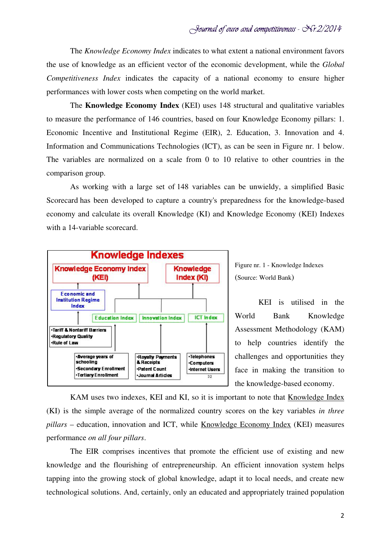The *Knowledge Economy Index* indicates to what extent a national environment favors the use of knowledge as an efficient vector of the economic development, while the *Global Competitiveness Index* indicates the capacity of a national economy to ensure higher performances with lower costs when competing on the world market.

The **Knowledge Economy Index** (KEI) uses 148 structural and qualitative variables to measure the performance of 146 countries, based on four Knowledge Economy pillars: 1. Economic Incentive and Institutional Regime (EIR), 2. Education, 3. Innovation and 4. Information and Communications Technologies (ICT), as can be seen in Figure nr. 1 below. The variables are normalized on a scale from 0 to 10 relative to other countries in the comparison group.

As working with a large set of 148 variables can be unwieldy, a simplified Basic Scorecard has been developed to capture a country's preparedness for the knowledge-based economy and calculate its overall Knowledge (KI) and Knowledge Economy (KEI) Indexes with a 14-variable scorecard.



Figure nr. 1 - Knowledge Indexes (Source: World Bank)

KEI is utilised in the World Bank Knowledge Assessment Methodology (KAM) to help countries identify the challenges and opportunities they face in making the transition to the knowledge-based economy.

KAM uses two indexes, KEI and KI, so it is important to note that Knowledge Index (KI) is the simple average of the normalized country scores on the key variables *in three pillars* – education, innovation and ICT, while Knowledge Economy Index (KEI) measures performance *on all four pillars*.

The EIR comprises incentives that promote the efficient use of existing and new knowledge and the flourishing of entrepreneurship. An efficient innovation system helps tapping into the growing stock of global knowledge, adapt it to local needs, and create new technological solutions. And, certainly, only an educated and appropriately trained population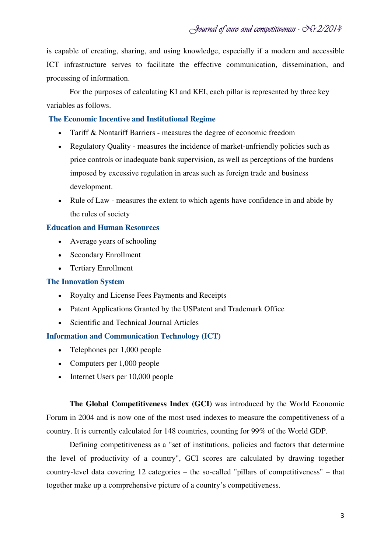is capable of creating, sharing, and using knowledge, especially if a modern and accessible ICT infrastructure serves to facilitate the effective communication, dissemination, and processing of information.

For the purposes of calculating KI and KEI, each pillar is represented by three key variables as follows.

## **The Economic Incentive and Institutional Regime**

- Tariff & Nontariff Barriers measures the degree of economic freedom
- Regulatory Quality measures the incidence of market-unfriendly policies such as price controls or inadequate bank supervision, as well as perceptions of the burdens imposed by excessive regulation in areas such as foreign trade and business development.
- Rule of Law measures the extent to which agents have confidence in and abide by the rules of society

### **Education and Human Resources**

- Average years of schooling
- Secondary Enrollment
- Tertiary Enrollment

### **The Innovation System**

- Royalty and License Fees Payments and Receipts
- Patent Applications Granted by the USPatent and Trademark Office
- Scientific and Technical Journal Articles

### **Information and Communication Technology (ICT)**

- Telephones per 1,000 people
- Computers per 1,000 people
- Internet Users per 10,000 people

**The Global Competitiveness Index (GCI)** was introduced by the World Economic Forum in 2004 and is now one of the most used indexes to measure the competitiveness of a country. It is currently calculated for 148 countries, counting for 99% of the World GDP.

Defining competitiveness as a "set of institutions, policies and factors that determine the level of productivity of a country", GCI scores are calculated by drawing together country-level data covering 12 categories – the so-called "pillars of competitiveness" – that together make up a comprehensive picture of a country's competitiveness.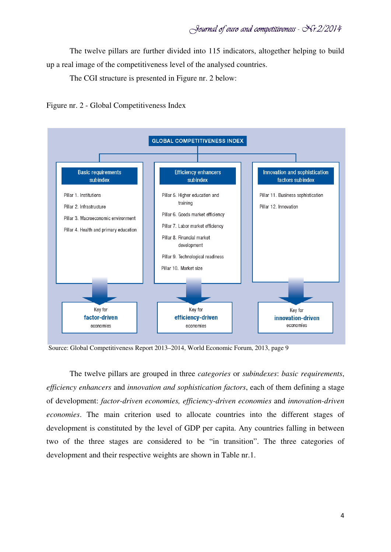The twelve pillars are further divided into 115 indicators, altogether helping to build up a real image of the competitiveness level of the analysed countries.

The CGI structure is presented in Figure nr. 2 below:

Figure nr. 2 - Global Competitiveness Index



Source: Global Competitiveness Report 2013–2014, World Economic Forum, 2013, page 9

The twelve pillars are grouped in three *categories* or *subindexes*: *basic requirements*, *efficiency enhancers* and *innovation and sophistication factors*, each of them defining a stage of development: *factor-driven economies, efficiency-driven economies* and *innovation-driven economies*. The main criterion used to allocate countries into the different stages of development is constituted by the level of GDP per capita. Any countries falling in between two of the three stages are considered to be "in transition". The three categories of development and their respective weights are shown in Table nr.1.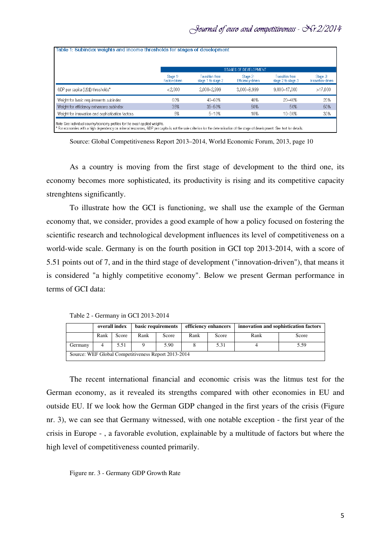|                                                  |                           |                                       | STAGES OF DEVELOPMENT         |                                       |                               |
|--------------------------------------------------|---------------------------|---------------------------------------|-------------------------------|---------------------------------------|-------------------------------|
|                                                  | Stage 1:<br>Factor-driven | Transition from<br>stage 1 to stage 2 | Stage 2:<br>Efficiency-driven | Transition from<br>stage 2 to stage 3 | Stage 3:<br>Innovation-driven |
| GDP per capita (US\$) thresholds*                | <2.000                    | 2.000-2.999                           | $3,000 - 8,999$               | 9.000-17.000                          | >17,000                       |
| Weight for basic requirements subindex           | 60%                       | 40-60%                                | 40%                           | 20-40%                                | 20%                           |
| Weight for efficiency enhancers subindex         | 35%                       | 35-50%                                | 50%                           | 50%                                   | 50%                           |
| Weight for innovation and sophistication factors | 5%                        | $5 - 10%$                             | 10%                           | 10-30%                                | 30%                           |

Source: Global Competitiveness Report 2013–2014, World Economic Forum, 2013, page 10

As a country is moving from the first stage of development to the third one, its economy becomes more sophisticated, its productivity is rising and its competitive capacity strenghtens significantly.

To illustrate how the GCI is functioning, we shall use the example of the German economy that, we consider, provides a good example of how a policy focused on fostering the scientific research and technological development influences its level of competitiveness on a world-wide scale. Germany is on the fourth position in GCI top 2013-2014, with a score of 5.51 points out of 7, and in the third stage of development ("innovation-driven"), that means it is considered "a highly competitive economy". Below we present German performance in terms of GCI data:

Table 2 - Germany in GCI 2013-2014

|                                                     | overall index |       | basic requirements |       | efficiency enhancers |       | innovation and sophistication factors |       |
|-----------------------------------------------------|---------------|-------|--------------------|-------|----------------------|-------|---------------------------------------|-------|
|                                                     | Rank          | Score | Rank               | Score | Rank                 | Score | Rank                                  | Score |
| Germany                                             | 4             | 5.51  |                    | 5.90  |                      | 5.31  |                                       | 5.59  |
| Source: WEF Global Competitiveness Report 2013-2014 |               |       |                    |       |                      |       |                                       |       |

The recent international financial and economic crisis was the litmus test for the German economy, as it revealed its strengths compared with other economies in EU and outside EU. If we look how the German GDP changed in the first years of the crisis (Figure nr. 3), we can see that Germany witnessed, with one notable exception - the first year of the crisis in Europe - , a favorable evolution, explainable by a multitude of factors but where the high level of competitiveness counted primarily.

Figure nr. 3 - Germany GDP Growth Rate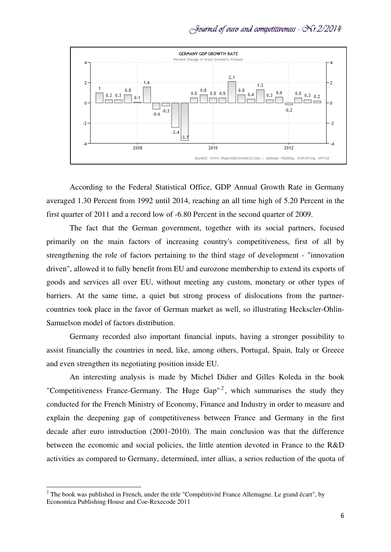

According to the Federal Statistical Office, GDP Annual Growth Rate in Germany averaged 1.30 Percent from 1992 until 2014, reaching an all time high of 5.20 Percent in the first quarter of 2011 and a record low of -6.80 Percent in the second quarter of 2009.

The fact that the German government, together with its social partners, focused primarily on the main factors of increasing country's competitiveness, first of all by strengthening the role of factors pertaining to the third stage of development - "innovation driven", allowed it to fully benefit from EU and eurozone membership to extend its exports of goods and services all over EU, without meeting any custom, monetary or other types of barriers. At the same time, a quiet but strong process of dislocations from the partnercountries took place in the favor of German market as well, so illustrating Heckscler-Ohlin-Samuelson model of factors distribution.

Germany recorded also important financial inputs, having a stronger possibility to assist financially the countries in need, like, among others, Portugal, Spain, Italy or Greece and even strengthen its negotiating position inside EU.

An interesting analysis is made by Michel Didier and Gilles Koleda in the book "Competitiveness France-Germany. The Huge Gap"<sup>[2](#page-6-0)</sup>, which summarises the study they conducted for the French Ministry of Economy, Finance and Industry in order to measure and explain the deepening gap of competitiveness between France and Germany in the first decade after euro introduction (2001-2010). The main conclusion was that the difference between the economic and social policies, the little atention devoted in France to the R&D activities as compared to Germany, determined, inter allias, a serios reduction of the quota of

 $\overline{a}$ 

<span id="page-6-0"></span><sup>&</sup>lt;sup>2</sup> The book was published in French, under the title "Compétitivité France Allemagne. Le grand écart", by Economica Publishing House and Coe-Rexecode 2011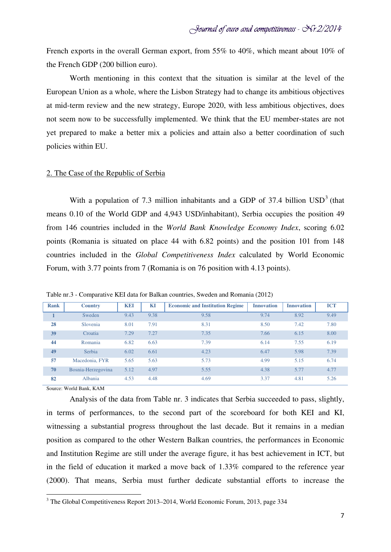French exports in the overall German export, from 55% to 40%, which meant about 10% of the French GDP (200 billion euro).

Worth mentioning in this context that the situation is similar at the level of the European Union as a whole, where the Lisbon Strategy had to change its ambitious objectives at mid-term review and the new strategy, Europe 2020, with less ambitious objectives, does not seem now to be successfully implemented. We think that the EU member-states are not yet prepared to make a better mix a policies and attain also a better coordination of such policies within EU.

#### 2. The Case of the Republic of Serbia

With a population of 7.[3](#page-7-0) million inhabitants and a GDP of 37.4 billion  $USD^3$  (that means 0.10 of the World GDP and 4,943 USD/inhabitant), Serbia occupies the position 49 from 146 countries included in the *World Bank Knowledge Economy Index*, scoring 6.02 points (Romania is situated on place 44 with 6.82 points) and the position 101 from 148 countries included in the *Global Competitiveness Index* calculated by World Economic Forum, with 3.77 points from 7 (Romania is on 76 position with 4.13 points).

| <b>Rank</b> | <b>Country</b>     | <b>KEI</b> | KI   | <b>Economic and Institution Regime</b> | <b>Innovation</b> | <b>Innovation</b> | <b>ICT</b> |
|-------------|--------------------|------------|------|----------------------------------------|-------------------|-------------------|------------|
|             | Sweden             | 9.43       | 9.38 | 9.58                                   | 9.74              | 8.92              | 9.49       |
| 28          | Slovenia           | 8.01       | 7.91 | 8.31                                   | 8.50              | 7.42              | 7.80       |
| 39          | Croatia            | 7.29       | 7.27 | 7.35                                   | 7.66              | 6.15              | 8.00       |
| 44          | Romania            | 6.82       | 6.63 | 7.39                                   | 6.14              | 7.55              | 6.19       |
| 49          | Serbia             | 6.02       | 6.61 | 4.23                                   | 6.47              | 5.98              | 7.39       |
| 57          | Macedonia, FYR     | 5.65       | 5.63 | 5.73                                   | 4.99              | 5.15              | 6.74       |
| 70          | Bosnia-Herzegovina | 5.12       | 4.97 | 5.55                                   | 4.38              | 5.77              | 4.77       |
| 82          | Albania            | 4.53       | 4.48 | 4.69                                   | 3.37              | 4.81              | 5.26       |

Table nr.3 - Comparative KEI data for Balkan countries, Sweden and Romania (2012)

Source: World Bank, KAM

 $\overline{a}$ 

Analysis of the data from Table nr. 3 indicates that Serbia succeeded to pass, slightly, in terms of performances, to the second part of the scoreboard for both KEI and KI, witnessing a substantial progress throughout the last decade. But it remains in a median position as compared to the other Western Balkan countries, the performances in Economic and Institution Regime are still under the average figure, it has best achievement in ICT, but in the field of education it marked a move back of 1.33% compared to the reference year (2000). That means, Serbia must further dedicate substantial efforts to increase the

<span id="page-7-0"></span><sup>3</sup> The Global Competitiveness Report 2013–2014, World Economic Forum, 2013, page 334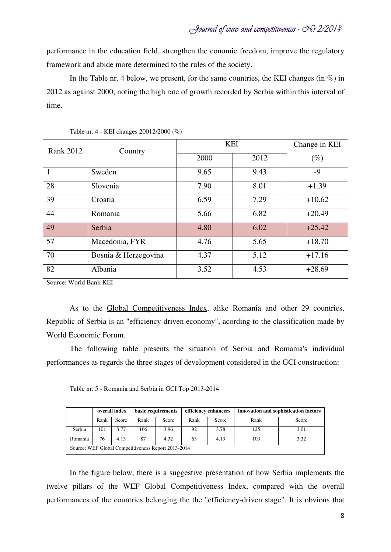performance in the education field, strengthen the conomic freedom, improve the regulatory framework and abide more determined to the rules of the society.

In the Table nr. 4 below, we present, for the same countries, the KEI changes (in  $\%$ ) in 2012 as against 2000, noting the high rate of growth recorded by Serbia within this interval of time.

| <b>Rank 2012</b> | Country              | <b>KEI</b> | Change in KEI |          |
|------------------|----------------------|------------|---------------|----------|
|                  |                      | 2000       | 2012          | $(\%)$   |
| 1                | Sweden               | 9.65       | 9.43          | $-9$     |
| 28               | Slovenia             | 7.90       | 8.01          | $+1.39$  |
| 39               | Croatia              | 6.59       | 7.29          | $+10.62$ |
| 44               | Romania              | 5.66       | 6.82          | $+20.49$ |
| 49               | Serbia               | 4.80       | 6.02          | $+25.42$ |
| 57               | Macedonia, FYR       | 4.76       | 5.65          | $+18.70$ |
| 70               | Bosnia & Herzegovina | 4.37       | 5.12          | $+17.16$ |
| 82               | Albania              | 3.52       | 4.53          | $+28.69$ |

Table nr. 4 - KEI changes 20012/2000 (%)

Source: World Bank KEI

As to the Global Competitiveness Index, alike Romania and other 29 countries, Republic of Serbia is an "efficiency-driven economy", acording to the classification made by World Economic Forum.

The following table presents the situation of Serbia and Romania's individual performances as regards the three stages of development considered in the GCI construction:

Table nr. 5 - Romania and Serbia in GCI Top 2013-2014

|                                                     | overall index |       | basic requirements |       | efficiency enhancers |       | innovation and sophistication factors |       |
|-----------------------------------------------------|---------------|-------|--------------------|-------|----------------------|-------|---------------------------------------|-------|
|                                                     | Rank          | Score | Rank               | Score | Rank                 | Score | Rank                                  | Score |
| Serbia                                              | 101           | 3.77  | 106                | 3.96  | 92                   | 3.78  | 125                                   | 3.01  |
| Romania                                             | 76            | 4.13  | 87                 | 4.32  | 63                   | 4.13  | 103                                   | 3.32  |
| Source: WEF Global Competitiveness Report 2013-2014 |               |       |                    |       |                      |       |                                       |       |

In the figure below, there is a suggestive presentation of how Serbia implements the twelve pillars of the WEF Global Competitiveness Index, compared with the overall performances of the countries belonging the the "efficiency-driven stage". It is obvious that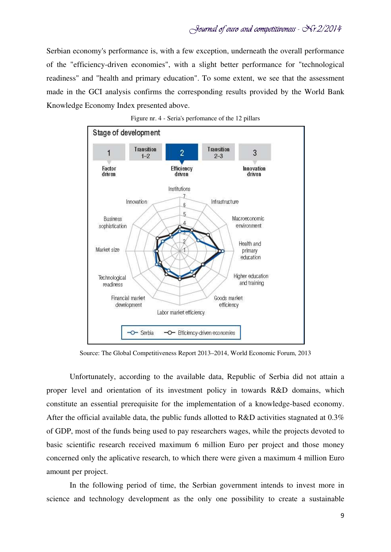Serbian economy's performance is, with a few exception, underneath the overall performance of the "efficiency-driven economies", with a slight better performance for "technological readiness" and "health and primary education". To some extent, we see that the assessment made in the GCI analysis confirms the corresponding results provided by the World Bank Knowledge Economy Index presented above.





Source: The Global Competitiveness Report 2013–2014, World Economic Forum, 2013

Unfortunately, according to the available data, Republic of Serbia did not attain a proper level and orientation of its investment policy in towards R&D domains, which constitute an essential prerequisite for the implementation of a knowledge-based economy. After the official available data, the public funds allotted to R&D activities stagnated at 0.3% of GDP, most of the funds being used to pay researchers wages, while the projects devoted to basic scientific research received maximum 6 million Euro per project and those money concerned only the aplicative research, to which there were given a maximum 4 million Euro amount per project.

In the following period of time, the Serbian government intends to invest more in science and technology development as the only one possibility to create a sustainable